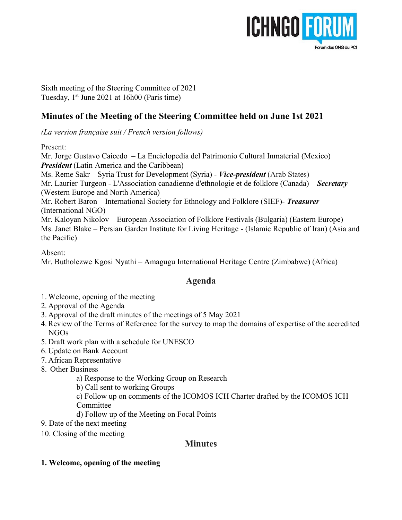

Sixth meeting of the Steering Committee of 2021 Tuesday,  $1<sup>st</sup>$  June 2021 at 16h00 (Paris time)

# **Minutes of the Meeting of the Steering Committee held on June 1st 2021**

*(La version française suit / French version follows)*

Present:

Mr. Jorge Gustavo Caicedo – La Enciclopedia del Patrimonio Cultural Inmaterial (Mexico) *President* (Latin America and the Caribbean) Ms. Reme Sakr – Syria Trust for Development (Syria) - *Vice-president* (Arab States) Mr. Laurier Turgeon - L'Association canadienne d'ethnologie et de folklore (Canada) – *Secretary* (Western Europe and North America) Mr. Robert Baron – International Society for Ethnology and Folklore (SIEF)- *Treasurer*  (International NGO) Mr. Kaloyan Nikolov – European Association of Folklore Festivals (Bulgaria) (Eastern Europe) Ms. Janet Blake – Persian Garden Institute for Living Heritage - (Islamic Republic of Iran) (Asia and the Pacific)

Absent:

Mr. Butholezwe Kgosi Nyathi – Amagugu International Heritage Centre (Zimbabwe) (Africa)

# **Agenda**

- 1. Welcome, opening of the meeting
- 2. Approval of the Agenda
- 3. Approval of the draft minutes of the meetings of 5 May 2021
- 4. Review of the Terms of Reference for the survey to map the domains of expertise of the accredited NGOs
- 5. Draft work plan with a schedule for UNESCO
- 6. Update on Bank Account
- 7. African Representative
- 8. Other Business
	- a) Response to the Working Group on Research
	- b) Call sent to working Groups

c) Follow up on comments of the ICOMOS ICH Charter drafted by the ICOMOS ICH Committee

d) Follow up of the Meeting on Focal Points

9. Date of the next meeting

10. Closing of the meeting

# **Minutes**

**1. Welcome, opening of the meeting**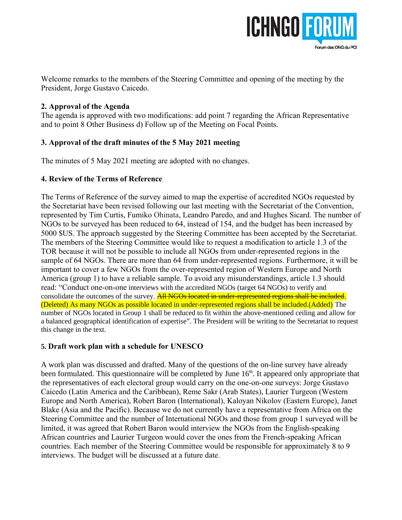

Welcome remarks to the members of the Steering Committee and opening of the meeting by the President, Jorge Gustavo Caicedo.

### **2. Approval of the Agenda**

The agenda is approved with two modifications: add point 7 regarding the African Representative and to point 8 Other Business d) Follow up of the Meeting on Focal Points.

# **3. Approval of the draft minutes of the 5 May 2021 meeting**

The minutes of 5 May 2021 meeting are adopted with no changes.

# **4. Review of the Terms of Reference**

The Terms of Reference of the survey aimed to map the expertise of accredited NGOs requested by the Secretariat have been revised following our last meeting with the Secretariat of the Convention, represented by Tim Curtis, Fumiko Ohinata, Leandro Paredo, and and Hughes Sicard. The number of NGOs to be surveyed has been reduced to 64, instead of 154, and the budget has been increased by 5000 \$US. The approach suggested by the Steering Committee has been accepted by the Secretariat. The members of the Steering Committee would like to request a modification to article 1.3 of the TOR because it will not be possible to include all NGOs from under-represented regions in the sample of 64 NGOs. There are more than 64 from under-represented regions. Furthermore, it will be important to cover a few NGOs from the over-represented region of Western Europe and North America (group 1) to have a reliable sample. To avoid any misunderstandings, article 1.3 should read: "Conduct one-on-one interviews with the accredited NGOs (target 64 NGOs) to verify and consolidate the outcomes of the survey. **All NGOs located in under-represented regions shall be included.** (Deleted) As many NGOs as possible located in under-represented regions shall be included.(Added) The number of NGOs located in Group 1 shall be reduced to fit within the above-mentioned ceiling and allow for a balanced geographical identification of expertise". The President will be writing to the Secretariat to request this change in the text.

# **5. Draft work plan with a schedule for UNESCO**

A work plan was discussed and drafted. Many of the questions of the on-line survey have already been formulated. This questionnaire will be completed by June  $16<sup>th</sup>$ . It appeared only appropriate that the representatives of each electoral group would carry on the one-on-one surveys: Jorge Gustavo Caicedo (Latin America and the Caribbean), Reme Sakr (Arab States), Laurier Turgeon (Western Europe and North America), Robert Baron (International), Kaloyan Nikolov (Eastern Europe), Janet Blake (Asia and the Pacific). Because we do not currently have a representative from Africa on the Steering Committee and the number of International NGOs and those from group 1 surveyed will be limited, it was agreed that Robert Baron would interview the NGOs from the English-speaking African countries and Laurier Turgeon would cover the ones from the French-speaking African countries. Each member of the Steering Committee would be responsible for approximately 8 to 9 interviews. The budget will be discussed at a future date.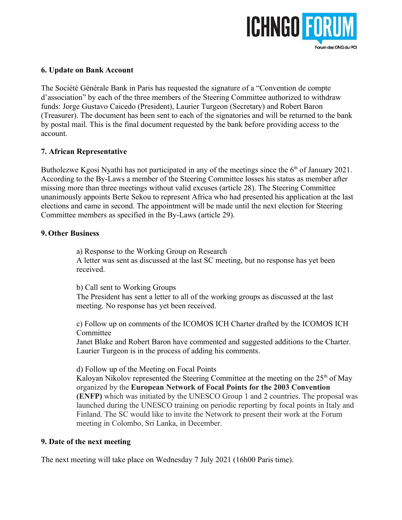

#### **6. Update on Bank Account**

The Société Générale Bank in Paris has requested the signature of a "Convention de compte d'association" by each of the three members of the Steering Committee authorized to withdraw funds: Jorge Gustavo Caicedo (President), Laurier Turgeon (Secretary) and Robert Baron (Treasurer). The document has been sent to each of the signatories and will be returned to the bank by postal mail. This is the final document requested by the bank before providing access to the account.

### **7. African Representative**

Butholezwe Kgosi Nyathi has not participated in any of the meetings since the  $6<sup>th</sup>$  of January 2021. According to the By-Laws a member of the Steering Committee losses his status as member after missing more than three meetings without valid excuses (article 28). The Steering Committee unanimously appoints Berte Sekou to represent Africa who had presented his application at the last elections and came in second. The appointment will be made until the next election for Steering Committee members as specified in the By-Laws (article 29).

#### **9. Other Business**

a) Response to the Working Group on Research A letter was sent as discussed at the last SC meeting, but no response has yet been received.

b) Call sent to Working Groups

The President has sent a letter to all of the working groups as discussed at the last meeting. No response has yet been received.

c) Follow up on comments of the ICOMOS ICH Charter drafted by the ICOMOS ICH Committee

Janet Blake and Robert Baron have commented and suggested additions to the Charter. Laurier Turgeon is in the process of adding his comments.

d) Follow up of the Meeting on Focal Points

Kaloyan Nikolov represented the Steering Committee at the meeting on the  $25<sup>th</sup>$  of May organized by the **European Network of Focal Points for the 2003 Convention (ENFP)** which was initiated by the UNESCO Group 1 and 2 countries. The proposal was launched during the UNESCO training on periodic reporting by focal points in Italy and Finland. The SC would like to invite the Network to present their work at the Forum meeting in Colombo, Sri Lanka, in December.

### **9. Date of the next meeting**

The next meeting will take place on Wednesday 7 July 2021 (16h00 Paris time).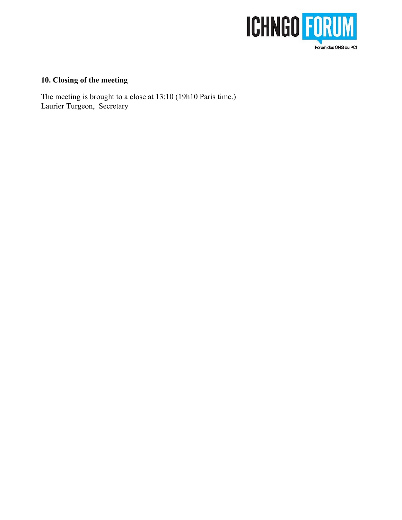

# **10. Closing of the meeting**

The meeting is brought to a close at 13:10 (19h10 Paris time.) Laurier Turgeon, Secretary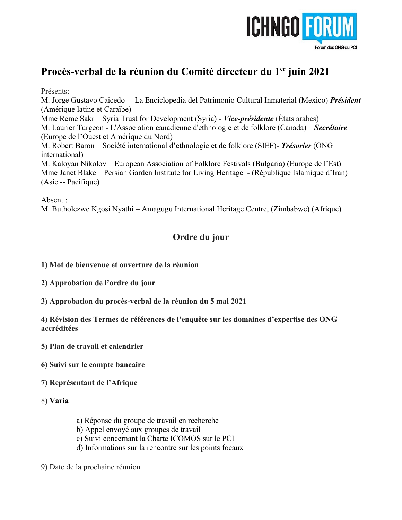

# **Procès-verbal de la réunion du Comité directeur du 1er juin 2021**

Présents:

M. Jorge Gustavo Caicedo – La Enciclopedia del Patrimonio Cultural Inmaterial (Mexico) *Président* (Amérique latine et Caraïbe)

Mme Reme Sakr – Syria Trust for Development (Syria) - *Vice-présidente* (États arabes) M. Laurier Turgeon - L'Association canadienne d'ethnologie et de folklore (Canada) – *Secrétaire* (Europe de l'Ouest et Amérique du Nord)

M. Robert Baron – Société international d'ethnologie et de folklore (SIEF)- *Trésorier* (ONG international)

M. Kaloyan Nikolov – European Association of Folklore Festivals (Bulgaria) (Europe de l'Est) Mme Janet Blake – Persian Garden Institute for Living Heritage - (République Islamique d'Iran) (Asie -- Pacifique)

Absent :

M. Butholezwe Kgosi Nyathi – Amagugu International Heritage Centre, (Zimbabwe) (Afrique)

# **Ordre du jour**

- **1) Mot de bienvenue et ouverture de la réunion**
- **2) Approbation de l'ordre du jour**
- **3) Approbation du procès-verbal de la réunion du 5 mai 2021**

**4) Révision des Termes de références de l'enquête sur les domaines d'expertise des ONG accréditées**

- **5) Plan de travail et calendrier**
- **6) Suivi sur le compte bancaire**
- **7) Représentant de l'Afrique**
- 8) **Varia**
- a) Réponse du groupe de travail en recherche
- b) Appel envoyé aux groupes de travail
- c) Suivi concernant la Charte ICOMOS sur le PCI
- d) Informations sur la rencontre sur les points focaux
- 9) Date de la prochaine réunion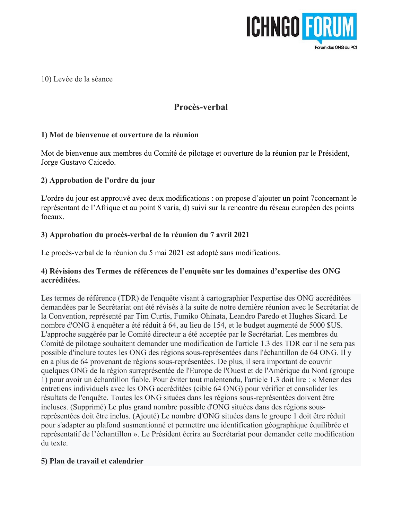

10) Levée de la séance

# **Procès-verbal**

# **1) Mot de bienvenue et ouverture de la réunion**

Mot de bienvenue aux membres du Comité de pilotage et ouverture de la réunion par le Président, Jorge Gustavo Caicedo.

# **2) Approbation de l'ordre du jour**

L'ordre du jour est approuvé avec deux modifications : on propose d'ajouter un point 7concernant le représentant de l'Afrique et au point 8 varia, d) suivi sur la rencontre du réseau européen des points focaux.

# **3) Approbation du procès-verbal de la réunion du 7 avril 2021**

Le procès-verbal de la réunion du 5 mai 2021 est adopté sans modifications.

# **4) Révisions des Termes de références de l'enquête sur les domaines d'expertise des ONG accréditées.**

Les termes de référence (TDR) de l'enquête visant à cartographier l'expertise des ONG accréditées demandées par le Secrétariat ont été révisés à la suite de notre dernière réunion avec le Secrétariat de la Convention, représenté par Tim Curtis, Fumiko Ohinata, Leandro Paredo et Hughes Sicard. Le nombre d'ONG à enquêter a été réduit à 64, au lieu de 154, et le budget augmenté de 5000 \$US. L'approche suggérée par le Comité directeur a été acceptée par le Secrétariat. Les membres du Comité de pilotage souhaitent demander une modification de l'article 1.3 des TDR car il ne sera pas possible d'inclure toutes les ONG des régions sous-représentées dans l'échantillon de 64 ONG. Il y en a plus de 64 provenant de régions sous-représentées. De plus, il sera important de couvrir quelques ONG de la région surreprésentée de l'Europe de l'Ouest et de l'Amérique du Nord (groupe 1) pour avoir un échantillon fiable. Pour éviter tout malentendu, l'article 1.3 doit lire : « Mener des entretiens individuels avec les ONG accréditées (cible 64 ONG) pour vérifier et consolider les résultats de l'enquête. Toutes les ONG situées dans les régions sous-représentées doivent être incluses. (Supprimé) Le plus grand nombre possible d'ONG situées dans des régions sousreprésentées doit être inclus. (Ajouté) Le nombre d'ONG situées dans le groupe 1 doit être réduit pour s'adapter au plafond susmentionné et permettre une identification géographique équilibrée et représentatif de l'échantillon ». Le Président écrira au Secrétariat pour demander cette modification du texte.

# **5) Plan de travail et calendrier**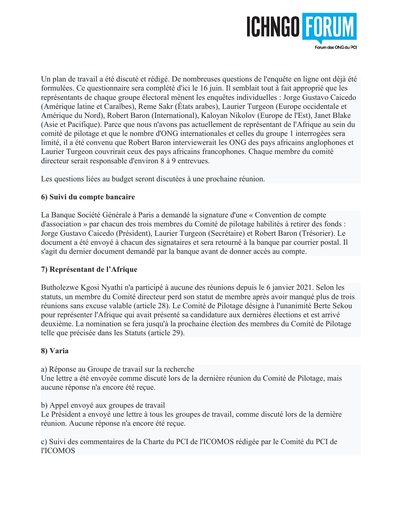

Un plan de travail a été discuté et rédigé. De nombreuses questions de l'enquête en ligne ont déjà été formulées. Ce questionnaire sera complété d'ici le 16 juin. Il semblait tout à fait approprié que les représentants de chaque groupe électoral mènent les enquêtes individuelles : Jorge Gustavo Caicedo (Amérique latine et Caraïbes), Reme Sakr (États arabes), Laurier Turgeon (Europe occidentale et Amérique du Nord), Robert Baron (International), Kaloyan Nikolov (Europe de l'Est), Janet Blake (Asie et Pacifique). Parce que nous n'avons pas actuellement de représentant de l'Afrique au sein du comité de pilotage et que le nombre d'ONG internationales et celles du groupe 1 interrogées sera limité, il a été convenu que Robert Baron interviewerait les ONG des pays africains anglophones et Laurier Turgeon couvrirait ceux des pays africains francophones. Chaque membre du comité directeur serait responsable d'environ 8 à 9 entrevues.

Les questions liées au budget seront discutées à une prochaine réunion.

# **6) Suivi du compte bancaire**

La Banque Société Générale à Paris a demandé la signature d'une « Convention de compte d'association » par chacun des trois membres du Comité de pilotage habilités à retirer des fonds : Jorge Gustavo Caicedo (Président), Laurier Turgeon (Secrétaire) et Robert Baron (Trésorier). Le document a été envoyé à chacun des signataires et sera retourné à la banque par courrier postal. Il s'agit du dernier document demandé par la banque avant de donner accès au compte.

# **7) Représentant de l'Afrique**

Butholezwe Kgosi Nyathi n'a participé à aucune des réunions depuis le 6 janvier 2021. Selon les statuts, un membre du Comité directeur perd son statut de membre après avoir manqué plus de trois réunions sans excuse valable (article 28). Le Comité de Pilotage désigne à l'unanimité Berte Sekou pour représenter l'Afrique qui avait présenté sa candidature aux dernières élections et est arrivé deuxième. La nomination se fera jusqu'à la prochaine élection des membres du Comité de Pilotage telle que précisée dans les Statuts (article 29).

# **8) Varia**

a) Réponse au Groupe de travail sur la recherche Une lettre a été envoyée comme discuté lors de la dernière réunion du Comité de Pilotage, mais aucune réponse n'a encore été reçue.

b) Appel envoyé aux groupes de travail

Le Président a envoyé une lettre à tous les groupes de travail, comme discuté lors de la dernière réunion. Aucune réponse n'a encore été reçue.

c) Suivi des commentaires de la Charte du PCI de l'ICOMOS rédigée par le Comité du PCI de l'ICOMOS